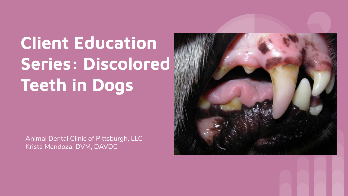# **Client Education Series: Discolored Teeth in Dogs**

Animal Dental Clinic of Pittsburgh, LLC Krista Mendoza, DVM, DAVDC

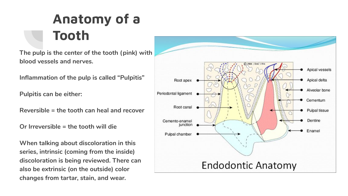## **Anatomy of a Tooth**

**The pulp is the center of the tooth (pink) with blood vessels and nerves.** 

**Inflammation of the pulp is called "Pulpitis"**

**Pulpitis can be either:** 

**Reversible = the tooth can heal and recover**

**Or Irreversible = the tooth will die**

**When talking about discoloration in this series, intrinsic (coming from the inside) discoloration is being reviewed. There can also be extrinsic (on the outside) color changes from tartar, stain, and wear.**

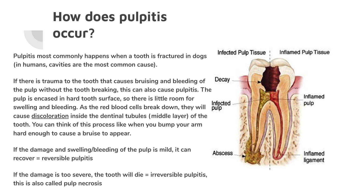#### **How does pulpitis occur?**

**Pulpitis most commonly happens when a tooth is fractured in dogs (in humans, cavities are the most common cause).**

**If there is trauma to the tooth that causes bruising and bleeding of the pulp without the tooth breaking, this can also cause pulpitis. The pulp is encased in hard tooth surface, so there is little room for swelling and bleeding. As the red blood cells break down, they will cause discoloration inside the dentinal tubules (middle layer) of the tooth. You can think of this process like when you bump your arm hard enough to cause a bruise to appear.** 

**If the damage and swelling/bleeding of the pulp is mild, it can recover = reversible pulpitis**

**If the damage is too severe, the tooth will die = irreversible pulpitis, this is also called pulp necrosis**

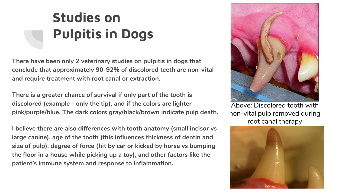## **Studies on Pulpitis in Dogs**

**There have been only 2 veterinary studies on pulpitis in dogs that conclude that approximately 90-92% of discolored teeth are non-vital and require treatment with root canal or extraction.** 

**There is a greater chance of survival if only part of the tooth is discolored (example - only the tip), and if the colors are lighter pink/purple/blue. The dark colors gray/black/brown indicate pulp death.** 

**I believe there are also differences with tooth anatomy (small incisor vs large canine), age of the tooth (this influences thickness of dentin and size of pulp), degree of force (hit by car or kicked by horse vs bumping the floor in a house while picking up a toy), and other factors like the patient's immune system and response to inflammation.**



Above: Discolored tooth with non-vital pulp removed during root canal therapy

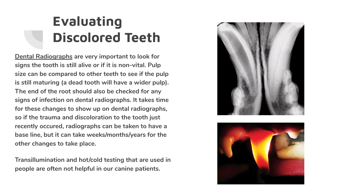#### **Evaluating Discolored Teeth**

**Dental Radiographs are very important to look for signs the tooth is still alive or if it is non-vital. Pulp size can be compared to other teeth to see if the pulp is still maturing (a dead tooth will have a wider pulp). The end of the root should also be checked for any signs of infection on dental radiographs. It takes time for these changes to show up on dental radiographs, so if the trauma and discoloration to the tooth just recently occured, radiographs can be taken to have a base line, but it can take weeks/months/years for the other changes to take place.** 

**Transillumination and hot/cold testing that are used in people are often not helpful in our canine patients.**